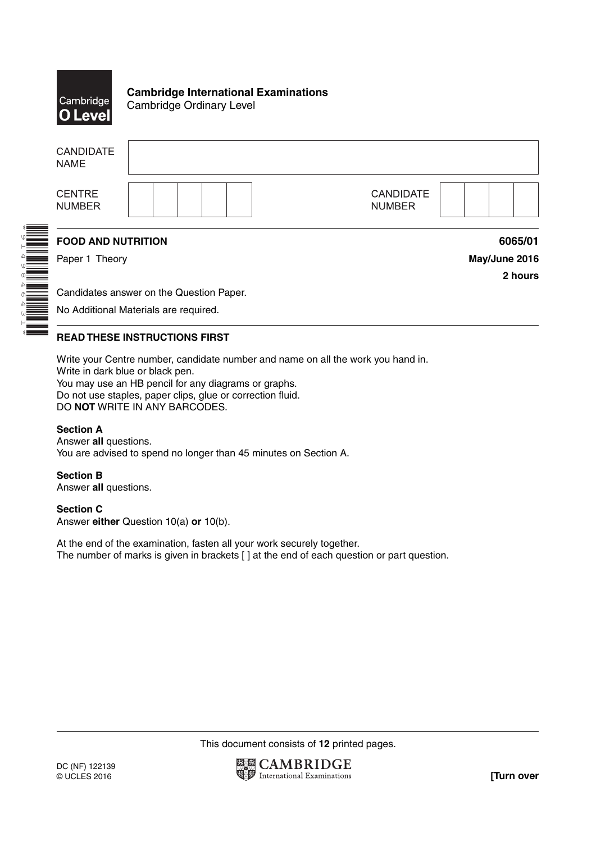

**Cambridge International Examinations** Cambridge Ordinary Level

| <b>CANDIDATE</b><br><b>NAME</b> |                                                                                                                                  |
|---------------------------------|----------------------------------------------------------------------------------------------------------------------------------|
| <b>CENTRE</b><br><b>NUMBER</b>  | <b>CANDIDATE</b><br><b>NUMBER</b>                                                                                                |
|                                 | 6065/01                                                                                                                          |
|                                 | May/June 2016<br>2 hours                                                                                                         |
|                                 |                                                                                                                                  |
|                                 |                                                                                                                                  |
|                                 | <b>FOOD AND NUTRITION</b><br>Paper 1 Theory<br>Candidates answer on the Question Paper.<br>No Additional Materials are required. |

# **READ THESE INSTRUCTIONS FIRST**

Write your Centre number, candidate number and name on all the work you hand in. Write in dark blue or black pen. You may use an HB pencil for any diagrams or graphs. Do not use staples, paper clips, glue or correction fluid. DO **NOT** WRITE IN ANY BARCODES.

#### **Section A** Answer **all** questions. You are advised to spend no longer than 45 minutes on Section A.

**Section B** Answer **all** questions.

### **Section C**

Answer **either** Question 10(a) **or** 10(b).

At the end of the examination, fasten all your work securely together. The number of marks is given in brackets [ ] at the end of each question or part question.

This document consists of **12** printed pages.

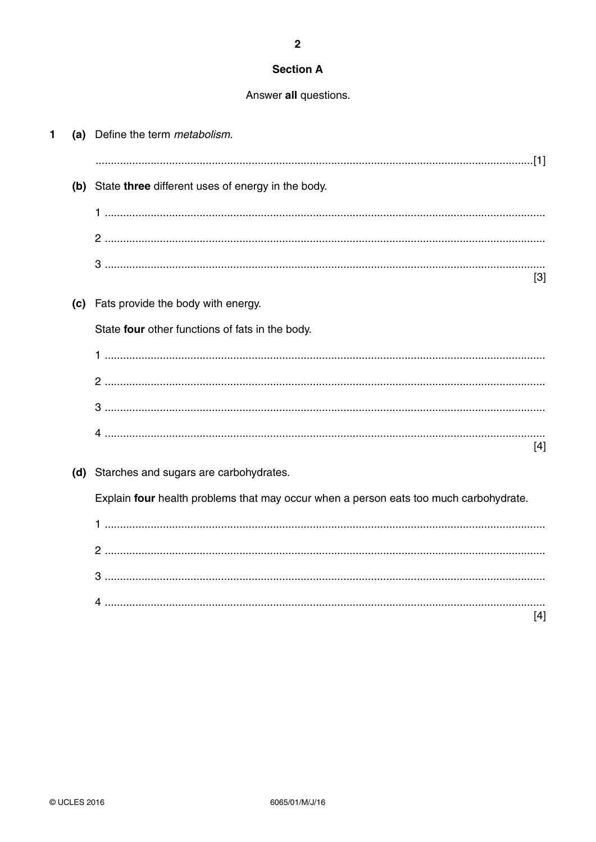# **Section A**

# Answer all questions.

| 1 | (a) Define the term metabolism.                                                       |
|---|---------------------------------------------------------------------------------------|
|   |                                                                                       |
|   | (b) State three different uses of energy in the body.                                 |
|   |                                                                                       |
|   |                                                                                       |
|   | $[3]$                                                                                 |
|   | (c) Fats provide the body with energy.                                                |
|   | State four other functions of fats in the body.                                       |
|   |                                                                                       |
|   |                                                                                       |
|   |                                                                                       |
|   | [4]                                                                                   |
|   | (d) Starches and sugars are carbohydrates.                                            |
|   | Explain four health problems that may occur when a person eats too much carbohydrate. |
|   |                                                                                       |
|   |                                                                                       |
|   |                                                                                       |
|   | $[4]$                                                                                 |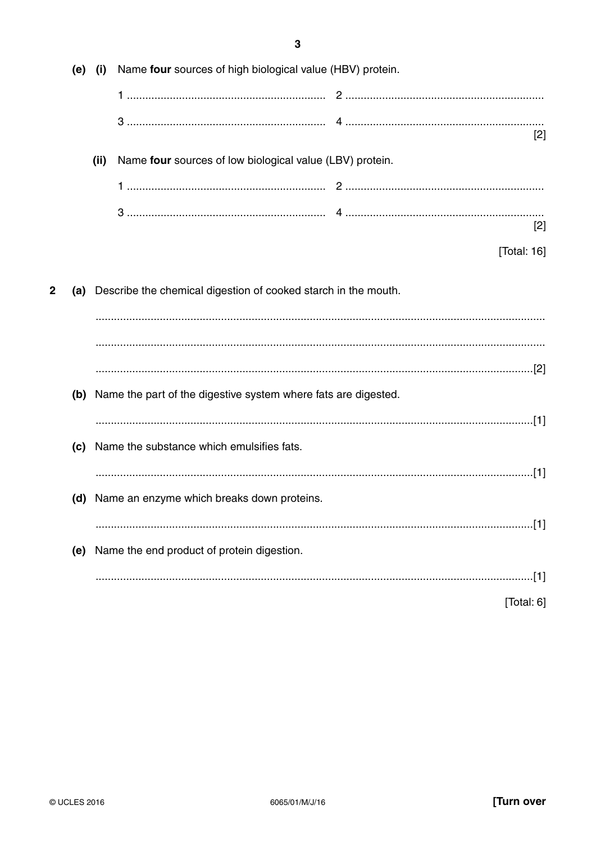|             | (e) | (i)  | Name four sources of high biological value (HBV) protein.          |               |
|-------------|-----|------|--------------------------------------------------------------------|---------------|
|             |     |      |                                                                    |               |
|             |     |      |                                                                    |               |
|             |     |      |                                                                    | $[2]$         |
|             |     | (ii) | Name four sources of low biological value (LBV) protein.           |               |
|             |     |      |                                                                    |               |
|             |     |      |                                                                    | $[2]$         |
|             |     |      |                                                                    |               |
|             |     |      |                                                                    | [Total: 16]   |
| $\mathbf 2$ |     |      | (a) Describe the chemical digestion of cooked starch in the mouth. |               |
|             |     |      |                                                                    |               |
|             |     |      |                                                                    |               |
|             |     |      |                                                                    |               |
|             | (b) |      | Name the part of the digestive system where fats are digested.     |               |
|             |     |      |                                                                    |               |
|             | (c) |      | Name the substance which emulsifies fats.                          |               |
|             |     |      |                                                                    |               |
|             |     |      |                                                                    |               |
|             |     |      | (d) Name an enzyme which breaks down proteins.                     |               |
|             |     |      |                                                                    | .[1]          |
|             | (e) |      | Name the end product of protein digestion.                         |               |
|             |     |      |                                                                    |               |
|             |     |      |                                                                    | [Total: $6$ ] |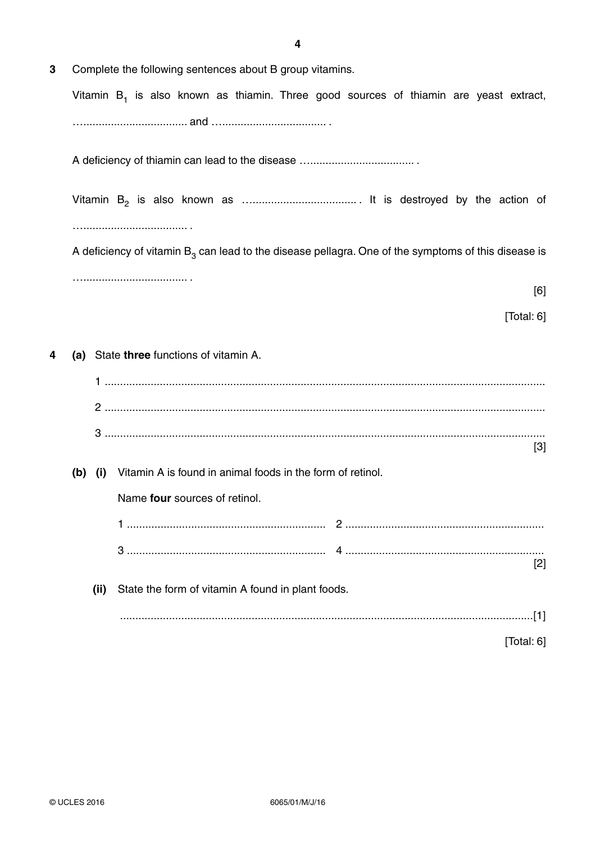| 3 |           | Complete the following sentences about B group vitamins.                                               |
|---|-----------|--------------------------------------------------------------------------------------------------------|
|   |           | Vitamin $B_1$ is also known as thiamin. Three good sources of thiamin are yeast extract,               |
|   |           |                                                                                                        |
|   |           |                                                                                                        |
|   |           |                                                                                                        |
|   |           |                                                                                                        |
|   |           | A deficiency of vitamin $B_3$ can lead to the disease pellagra. One of the symptoms of this disease is |
|   |           | [6]                                                                                                    |
|   |           | [Total: $6$ ]                                                                                          |
|   |           |                                                                                                        |
| 4 |           | (a) State three functions of vitamin A.                                                                |
|   |           |                                                                                                        |
|   |           |                                                                                                        |
|   |           | $[3]$                                                                                                  |
|   | $(b)$ (i) | Vitamin A is found in animal foods in the form of retinol.                                             |
|   |           | Name four sources of retinol.                                                                          |
|   |           |                                                                                                        |
|   |           |                                                                                                        |
|   |           | $[2]$                                                                                                  |
|   | (ii)      | State the form of vitamin A found in plant foods.                                                      |
|   |           |                                                                                                        |
|   |           | [Total: $6$ ]                                                                                          |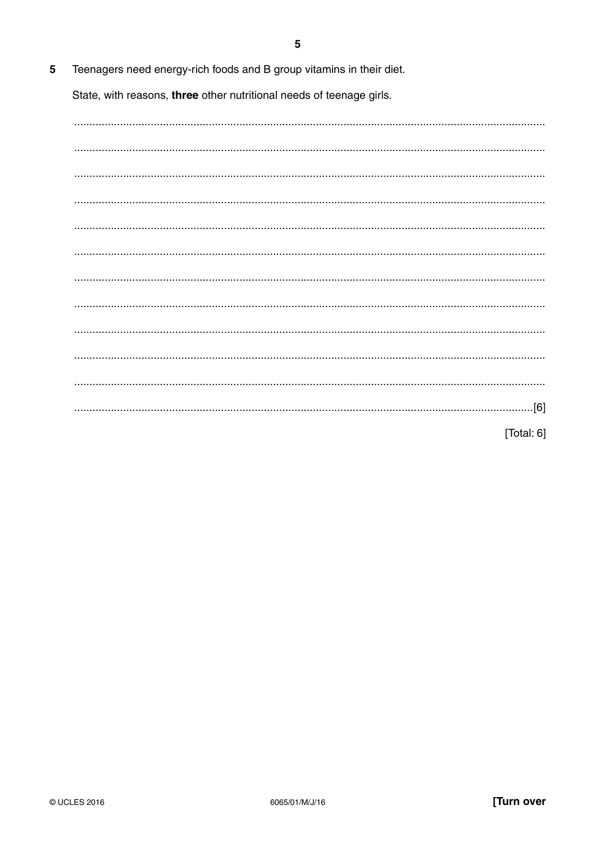Teenagers need energy-rich foods and B group vitamins in their diet. 5

State, with reasons, three other nutritional needs of teenage girls.

[Total: 6]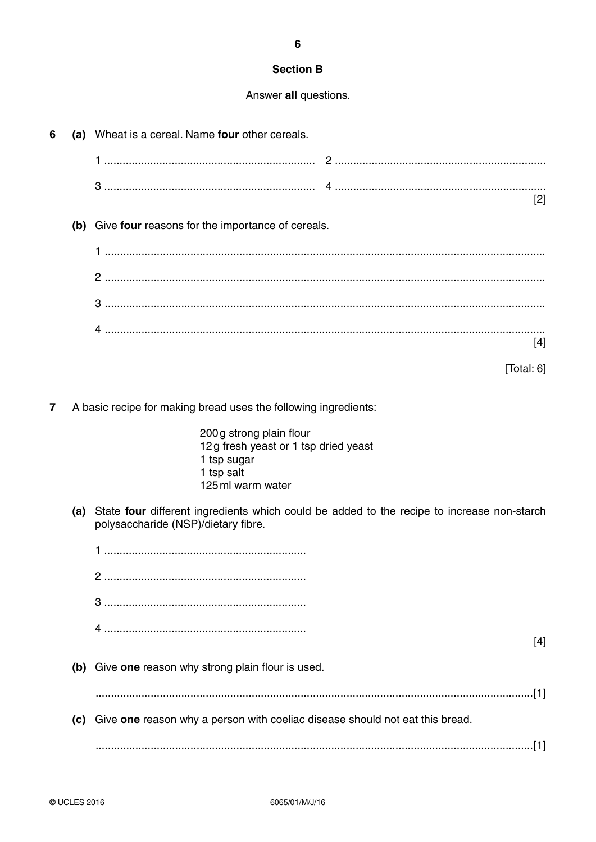### **Section B**

# Answer all questions.

| 6 |     | (a) Wheat is a cereal. Name four other cereals.                                                                                   |
|---|-----|-----------------------------------------------------------------------------------------------------------------------------------|
|   |     |                                                                                                                                   |
|   |     |                                                                                                                                   |
|   |     | $[2]$                                                                                                                             |
|   |     | (b) Give four reasons for the importance of cereals.                                                                              |
|   |     |                                                                                                                                   |
|   |     |                                                                                                                                   |
|   |     |                                                                                                                                   |
|   |     |                                                                                                                                   |
|   |     | $[4]$                                                                                                                             |
|   |     | [Total: $6$ ]                                                                                                                     |
| 7 |     | A basic recipe for making bread uses the following ingredients:                                                                   |
|   |     | 200 g strong plain flour<br>12g fresh yeast or 1 tsp dried yeast<br>1 tsp sugar<br>1 tsp salt<br>125 ml warm water                |
|   | (a) | State four different ingredients which could be added to the recipe to increase non-starch<br>polysaccharide (NSP)/dietary fibre. |
|   |     |                                                                                                                                   |
|   |     |                                                                                                                                   |
|   |     |                                                                                                                                   |
|   |     | $[4]$                                                                                                                             |
|   | (b) | Give one reason why strong plain flour is used.                                                                                   |
|   | (c) | Give one reason why a person with coeliac disease should not eat this bread.                                                      |
|   |     |                                                                                                                                   |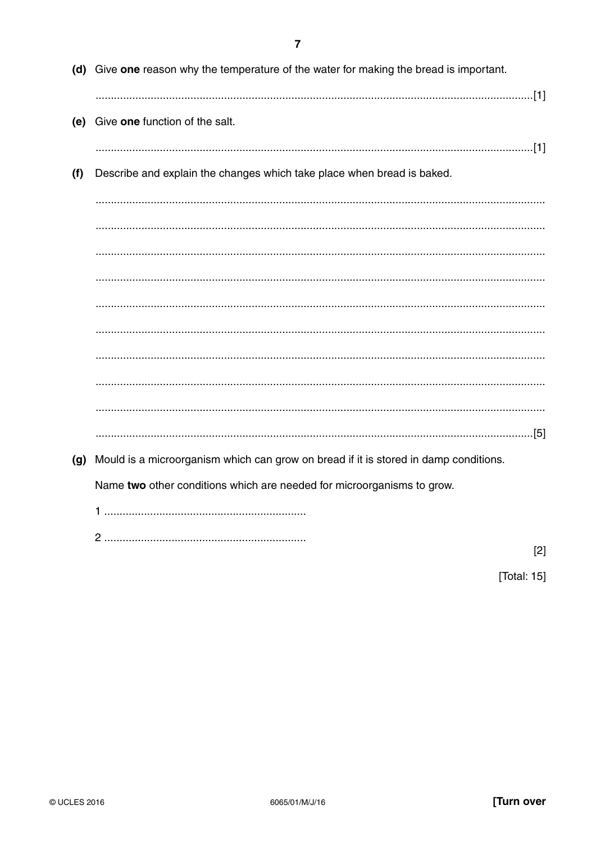(d) Give one reason why the temperature of the water for making the bread is important. (e) Give one function of the salt. (f) Describe and explain the changes which take place when bread is baked. (g) Mould is a microorganism which can grow on bread if it is stored in damp conditions. Name two other conditions which are needed for microorganisms to grow.  $[2]$ 

[Total: 15]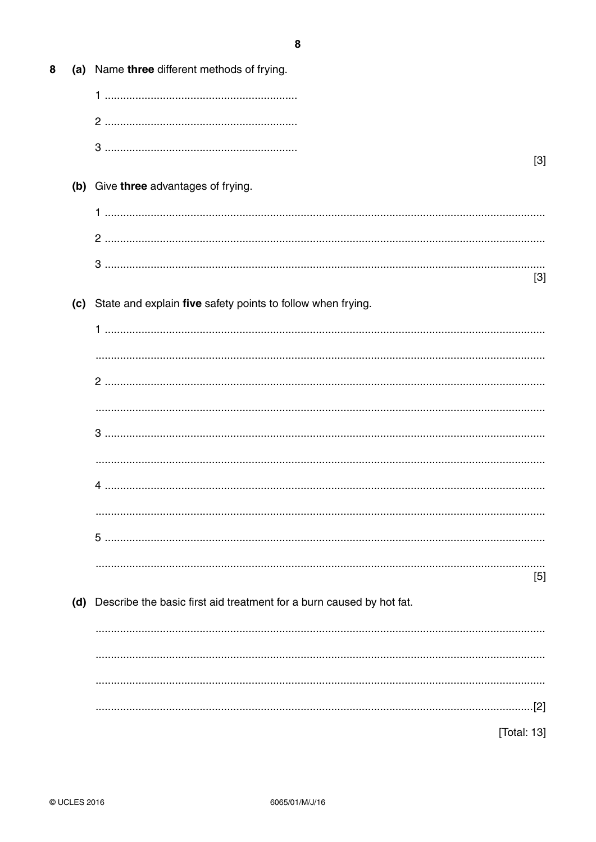| 8 | (a) Name three different methods of frying.                              |       |
|---|--------------------------------------------------------------------------|-------|
|   |                                                                          |       |
|   |                                                                          |       |
|   |                                                                          | $[3]$ |
|   | (b) Give three advantages of frying.                                     |       |
|   |                                                                          |       |
|   |                                                                          |       |
|   |                                                                          | $[3]$ |
|   | (c) State and explain five safety points to follow when frying.          |       |
|   |                                                                          |       |
|   |                                                                          |       |
|   |                                                                          |       |
|   |                                                                          |       |
|   |                                                                          |       |
|   |                                                                          |       |
|   |                                                                          |       |
|   |                                                                          |       |
|   |                                                                          |       |
|   |                                                                          |       |
|   |                                                                          | [5]   |
|   | (d) Describe the basic first aid treatment for a burn caused by hot fat. |       |
|   |                                                                          |       |
|   |                                                                          |       |
|   |                                                                          |       |
|   |                                                                          |       |
|   | [Total: 13]                                                              |       |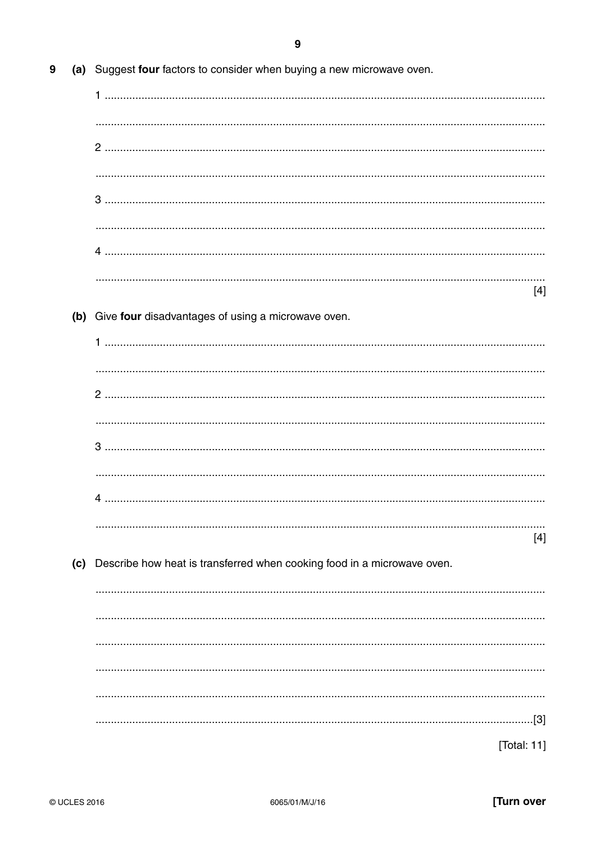| 9 | (a) Suggest four factors to consider when buying a new microwave oven.      |       |
|---|-----------------------------------------------------------------------------|-------|
|   |                                                                             |       |
|   |                                                                             |       |
|   |                                                                             |       |
|   |                                                                             |       |
|   |                                                                             |       |
|   |                                                                             |       |
|   |                                                                             |       |
|   |                                                                             | $[4]$ |
|   | (b) Give four disadvantages of using a microwave oven.                      |       |
|   |                                                                             |       |
|   |                                                                             |       |
|   |                                                                             |       |
|   |                                                                             |       |
|   |                                                                             |       |
|   |                                                                             |       |
|   |                                                                             |       |
|   |                                                                             |       |
|   |                                                                             | $[4]$ |
|   | (c) Describe how heat is transferred when cooking food in a microwave oven. |       |
|   |                                                                             |       |
|   |                                                                             |       |
|   |                                                                             |       |
|   |                                                                             |       |
|   |                                                                             |       |
|   |                                                                             | .[3]  |

[Total:  $11$ ]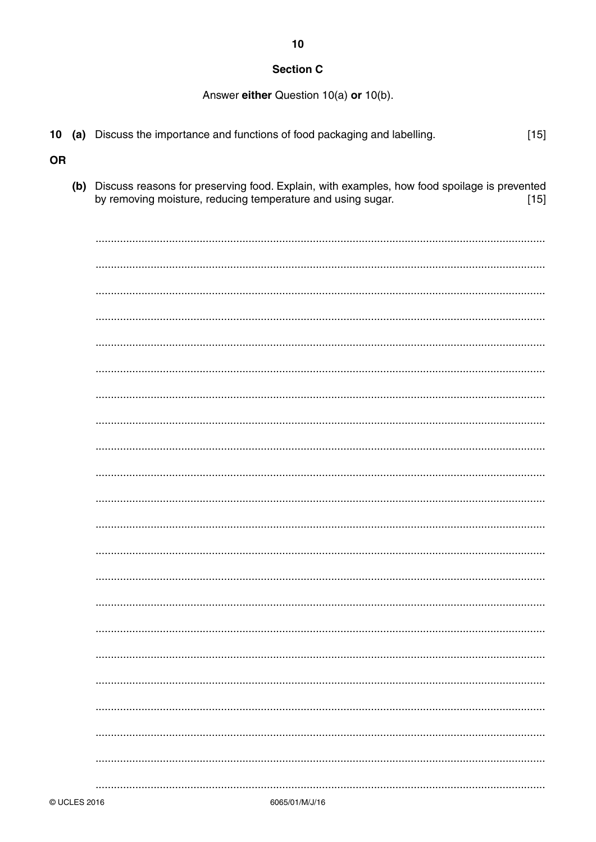# **Section C**

Answer either Question 10(a) or 10(b).

|           | 10 (a) Discuss the importance and functions of food packaging and labelling.<br>$[15]$                                                                                   |
|-----------|--------------------------------------------------------------------------------------------------------------------------------------------------------------------------|
| <b>OR</b> |                                                                                                                                                                          |
|           | (b) Discuss reasons for preserving food. Explain, with examples, how food spoilage is prevented<br>by removing moisture, reducing temperature and using sugar.<br>$[15]$ |
|           |                                                                                                                                                                          |
|           |                                                                                                                                                                          |
|           |                                                                                                                                                                          |
|           |                                                                                                                                                                          |
|           |                                                                                                                                                                          |
|           |                                                                                                                                                                          |
|           |                                                                                                                                                                          |
|           |                                                                                                                                                                          |
|           |                                                                                                                                                                          |
|           |                                                                                                                                                                          |
|           |                                                                                                                                                                          |
|           |                                                                                                                                                                          |
|           |                                                                                                                                                                          |
|           |                                                                                                                                                                          |
|           |                                                                                                                                                                          |
|           |                                                                                                                                                                          |
|           |                                                                                                                                                                          |
|           |                                                                                                                                                                          |
|           |                                                                                                                                                                          |
|           |                                                                                                                                                                          |
|           |                                                                                                                                                                          |
|           |                                                                                                                                                                          |
|           |                                                                                                                                                                          |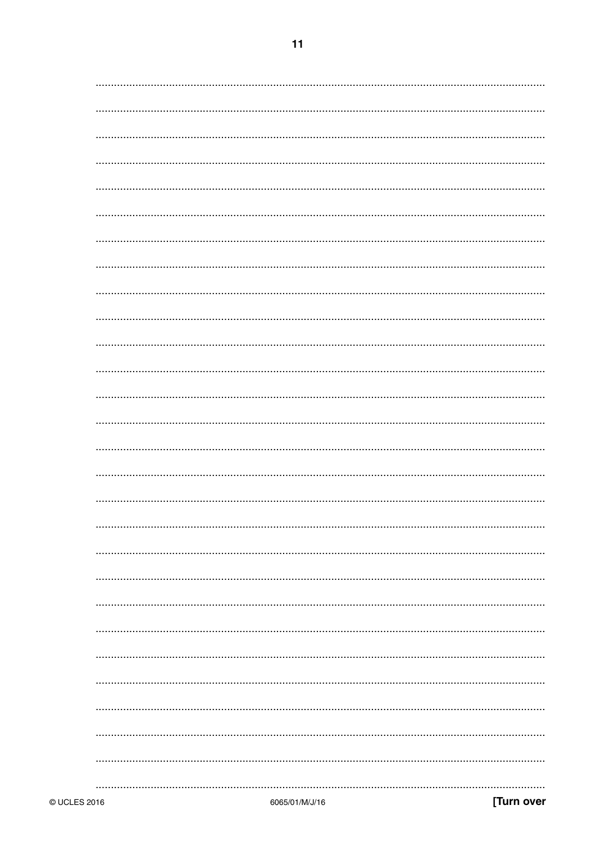© UCLES 2016